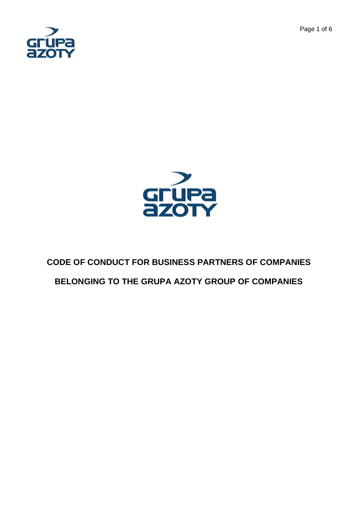



# **CODE OF CONDUCT FOR BUSINESS PARTNERS OF COMPANIES BELONGING TO THE GRUPA AZOTY GROUP OF COMPANIES**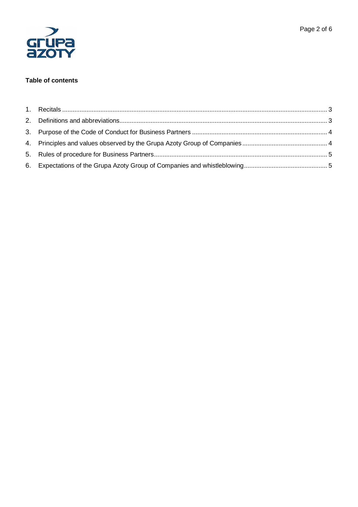

### **Table of contents**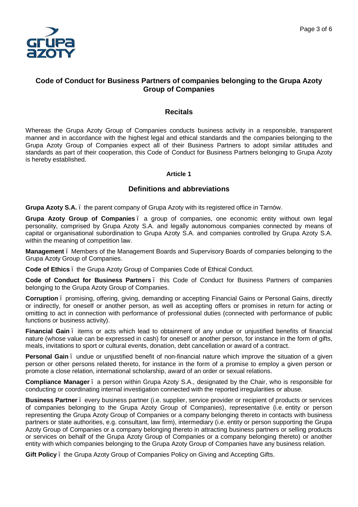



# **Code of Conduct for Business Partners of companies belonging to the Grupa Azoty Group of Companies**

## **Recitals**

Whereas the Grupa Azoty Group of Companies conducts business activity in a responsible, transparent manner and in accordance with the highest legal and ethical standards and the companies belonging to the Grupa Azoty Group of Companies expect all of their Business Partners to adopt similar attitudes and standards as part of their cooperation, this Code of Conduct for Business Partners belonging to Grupa Azoty is hereby established.

#### **Article 1**

## **Definitions and abbreviations**

**Grupa Azoty S.A.** – the parent company of Grupa Azoty with its registered office in Tarnów.

**Grupa Azoty Group of Companies** – a group of companies, one economic entity without own legal personality, comprised by Grupa Azoty S.A. and legally autonomous companies connected by means of capital or organisational subordination to Grupa Azoty S.A. and companies controlled by Grupa Azoty S.A. within the meaning of competition law.

**Management** – Members of the Management Boards and Supervisory Boards of companies belonging to the Grupa Azoty Group of Companies.

**Code of Ethics** – the Grupa Azoty Group of Companies Code of Ethical Conduct.

**Code of Conduct for Business Partners** – this Code of Conduct for Business Partners of companies belonging to the Grupa Azoty Group of Companies.

**Corruption** – promising, offering, giving, demanding or accepting Financial Gains or Personal Gains, directly or indirectly, for oneself or another person, as well as accepting offers or promises in return for acting or omitting to act in connection with performance of professional duties (connected with performance of public functions or business activity).

**Financial Gain** – items or acts which lead to obtainment of any undue or unjustified benefits of financial nature (whose value can be expressed in cash) for oneself or another person, for instance in the form of gifts, meals, invitations to sport or cultural events, donation, debt cancellation or award of a contract.

**Personal Gain** – undue or unjustified benefit of non-financial nature which improve the situation of a given person or other persons related thereto, for instance in the form of a promise to employ a given person or promote a close relation, international scholarship, award of an order or sexual relations.

**Compliance Manager** – a person within Grupa Azoty S.A., designated by the Chair, who is responsible for conducting or coordinating internal investigation connected with the reported irregularities or abuse.

**Business Partner** – every business partner (i.e. supplier, service provider or recipient of products or services of companies belonging to the Grupa Azoty Group of Companies), representative (i.e. entity or person representing the Grupa Azoty Group of Companies or a company belonging thereto in contacts with business partners or state authorities, e.g. consultant, law firm), intermediary (i.e. entity or person supporting the Grupa Azoty Group of Companies or a company belonging thereto in attracting business partners or selling products or services on behalf of the Grupa Azoty Group of Companies or a company belonging thereto) or another entity with which companies belonging to the Grupa Azoty Group of Companies have any business relation.

<span id="page-2-1"></span><span id="page-2-0"></span>**Gift Policy** – the Grupa Azoty Group of Companies Policy on Giving and Accepting Gifts.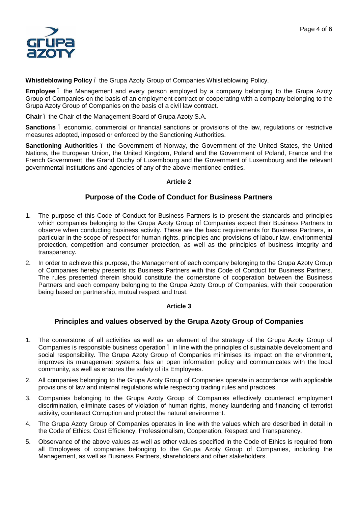

**Whistleblowing Policy** – the Grupa Azoty Group of Companies Whistleblowing Policy.

**Employee** – the Management and every person employed by a company belonging to the Grupa Azoty Group of Companies on the basis of an employment contract or cooperating with a company belonging to the Grupa Azoty Group of Companies on the basis of a civil law contract.

**Chair** – the Chair of the Management Board of Grupa Azoty S.A.

**Sanctions** . economic, commercial or financial sanctions or provisions of the law, regulations or restrictive measures adopted, imposed or enforced by the Sanctioning Authorities.

**Sanctioning Authorities** – the Government of Norway, the Government of the United States, the United Nations, the European Union, the United Kingdom, Poland and the Government of Poland, France and the French Government, the Grand Duchy of Luxembourg and the Government of Luxembourg and the relevant governmental institutions and agencies of any of the above-mentioned entities.

#### **Article 2**

## **Purpose of the Code of Conduct for Business Partners**

- 1. The purpose of this Code of Conduct for Business Partners is to present the standards and principles which companies belonging to the Grupa Azoty Group of Companies expect their Business Partners to observe when conducting business activity. These are the basic requirements for Business Partners, in particular in the scope of respect for human rights, principles and provisions of labour law, environmental protection, competition and consumer protection, as well as the principles of business integrity and transparency.
- 2. In order to achieve this purpose, the Management of each company belonging to the Grupa Azoty Group of Companies hereby presents its Business Partners with this Code of Conduct for Business Partners. The rules presented therein should constitute the cornerstone of cooperation between the Business Partners and each company belonging to the Grupa Azoty Group of Companies, with their cooperation being based on partnership, mutual respect and trust.

#### <span id="page-3-0"></span>**Article 3**

### **Principles and values observed by the Grupa Azoty Group of Companies**

- 1. The cornerstone of all activities as well as an element of the strategy of the Grupa Azoty Group of Companies is responsible business operation – in line with the principles of sustainable development and social responsibility. The Grupa Azoty Group of Companies minimises its impact on the environment, improves its management systems, has an open information policy and communicates with the local community, as well as ensures the safety of its Employees.
- 2. All companies belonging to the Grupa Azoty Group of Companies operate in accordance with applicable provisions of law and internal regulations while respecting trading rules and practices.
- 3. Companies belonging to the Grupa Azoty Group of Companies effectively counteract employment discrimination, eliminate cases of violation of human rights, money laundering and financing of terrorist activity, counteract Corruption and protect the natural environment.
- 4. The Grupa Azoty Group of Companies operates in line with the values which are described in detail in the Code of Ethics: Cost Efficiency, Professionalism, Cooperation, Respect and Transparency.
- <span id="page-3-1"></span>5. Observance of the above values as well as other values specified in the Code of Ethics is required from all Employees of companies belonging to the Grupa Azoty Group of Companies, including the Management, as well as Business Partners, shareholders and other stakeholders.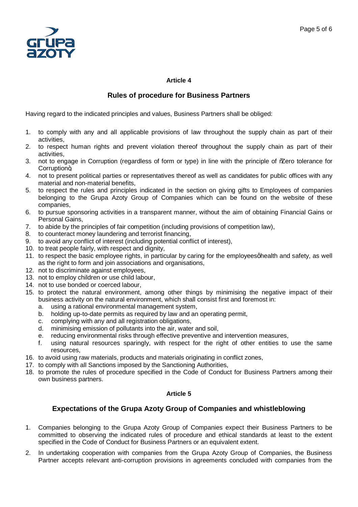

#### **Article 4**

# **Rules of procedure for Business Partners**

Having regard to the indicated principles and values, Business Partners shall be obliged:

- 1. to comply with any and all applicable provisions of law throughout the supply chain as part of their activities,
- 2. to respect human rights and prevent violation thereof throughout the supply chain as part of their activities,
- 3. not to engage in Corruption (regardless of form or type) in line with the principle of % aro tolerance for Corruption+,
- 4. not to present political parties or representatives thereof as well as candidates for public offices with any material and non-material benefits,
- 5. to respect the rules and principles indicated in the section on giving gifts to Employees of companies belonging to the Grupa Azoty Group of Companies which can be found on the website of these companies,
- 6. to pursue sponsoring activities in a transparent manner, without the aim of obtaining Financial Gains or Personal Gains,
- 7. to abide by the principles of fair competition (including provisions of competition law),
- 8. to counteract money laundering and terrorist financing,
- 9. to avoid any conflict of interest (including potential conflict of interest),
- 10. to treat people fairly, with respect and dignity.
- 11. to respect the basic employee rights, in particular by caring for the employeesghealth and safety, as well as the right to form and join associations and organisations,
- 12. not to discriminate against employees,
- 13. not to employ children or use child labour,
- 14. not to use bonded or coerced labour,
- 15. to protect the natural environment, among other things by minimising the negative impact of their business activity on the natural environment, which shall consist first and foremost in:
	- a. using a rational environmental management system,<br>b. holding up-to-date permits as required by law and an
	- b. holding up-to-date permits as required by law and an operating permit,
	- c. complying with any and all registration obligations,
	- d. minimising emission of pollutants into the air, water and soil,
	- e. reducing environmental risks through effective preventive and intervention measures,
	- f. using natural resources sparingly, with respect for the right of other entities to use the same resources,
- 16. to avoid using raw materials, products and materials originating in conflict zones,
- 17. to comply with all Sanctions imposed by the Sanctioning Authorities,
- 18. to promote the rules of procedure specified in the Code of Conduct for Business Partners among their own business partners.

#### <span id="page-4-0"></span>**Article 5**

# **Expectations of the Grupa Azoty Group of Companies and whistleblowing**

- 1. Companies belonging to the Grupa Azoty Group of Companies expect their Business Partners to be committed to observing the indicated rules of procedure and ethical standards at least to the extent specified in the Code of Conduct for Business Partners or an equivalent extent.
- <span id="page-4-1"></span>2. In undertaking cooperation with companies from the Grupa Azoty Group of Companies, the Business Partner accepts relevant anti-corruption provisions in agreements concluded with companies from the